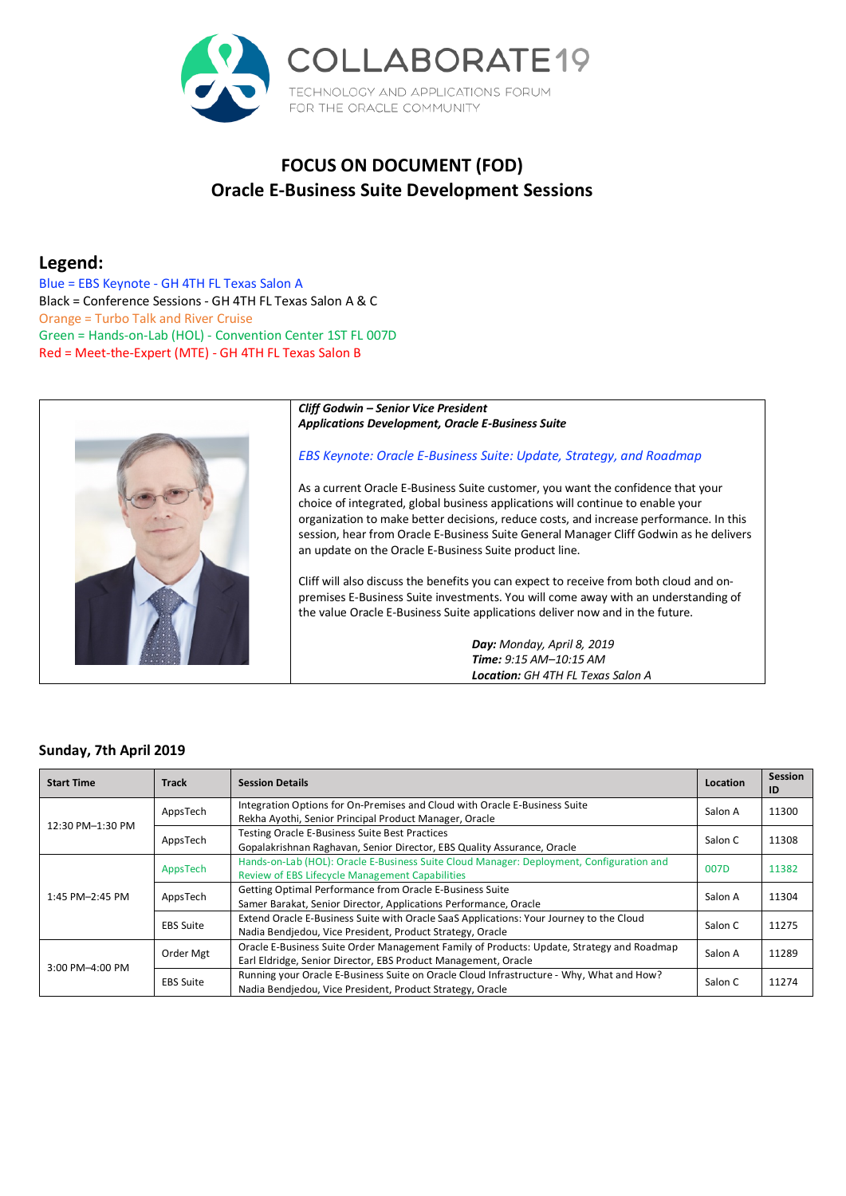

# **FOCUS ON DOCUMENT (FOD) Oracle E-Business Suite Development Sessions**

# **Legend:**

 Blue = EBS Keynote - GH 4TH FL Texas Salon A Black = Conference Sessions - GH 4TH FL Texas Salon A & C Orange = Turbo Talk and River Cruise Green = Hands-on-Lab (HOL) - Convention Center 1ST FL 007D Red = Meet-the-Expert (MTE) - GH 4TH FL Texas Salon B



 *Cliff Godwin – Senior Vice President Applications Development, Oracle E-Business Suite* 

## *EBS Keynote: Oracle E-Business Suite: Update, Strategy, and Roadmap*

 As a current Oracle E-Business Suite customer, you want the confidence that your choice of integrated, global business applications will continue to enable your organization to make better decisions, reduce costs, and increase performance. In this session, hear from Oracle E-Business Suite General Manager Cliff Godwin as he delivers an update on the Oracle E-Business Suite product line.

 Cliff will also discuss the benefits you can expect to receive from both cloud and on- premises E-Business Suite investments. You will come away with an understanding of the value Oracle E-Business Suite applications deliver now and in the future.

> *Location: GH 4TH FL Texas Salon A Day: Monday, April 8, 2019 Time: 9:15 AM–10:15 AM*

# **Sunday, 7th April 2019**

| <b>Start Time</b> | Track            | <b>Session Details</b>                                                                    | Location | <b>Session</b><br>ID |
|-------------------|------------------|-------------------------------------------------------------------------------------------|----------|----------------------|
| 12:30 PM-1:30 PM  | AppsTech         | Integration Options for On-Premises and Cloud with Oracle E-Business Suite                | Salon A  | 11300                |
|                   |                  | Rekha Ayothi, Senior Principal Product Manager, Oracle                                    |          |                      |
|                   | AppsTech         | <b>Testing Oracle E-Business Suite Best Practices</b>                                     | Salon C  | 11308                |
|                   |                  | Gopalakrishnan Raghavan, Senior Director, EBS Quality Assurance, Oracle                   |          |                      |
|                   | AppsTech         | Hands-on-Lab (HOL): Oracle E-Business Suite Cloud Manager: Deployment, Configuration and  | 007D     | 11382                |
|                   |                  | Review of EBS Lifecycle Management Capabilities                                           |          |                      |
| 1:45 PM-2:45 PM   | AppsTech         | Getting Optimal Performance from Oracle E-Business Suite                                  | Salon A  | 11304                |
|                   |                  | Samer Barakat, Senior Director, Applications Performance, Oracle                          |          |                      |
|                   | <b>EBS Suite</b> | Extend Oracle E-Business Suite with Oracle SaaS Applications: Your Journey to the Cloud   | Salon C  | 11275                |
|                   |                  | Nadia Bendjedou, Vice President, Product Strategy, Oracle                                 |          |                      |
| 3:00 PM-4:00 PM   | Order Mgt        | Oracle E-Business Suite Order Management Family of Products: Update, Strategy and Roadmap | Salon A  |                      |
|                   |                  | Earl Eldridge, Senior Director, EBS Product Management, Oracle                            |          | 11289                |
|                   | <b>EBS Suite</b> | Running your Oracle E-Business Suite on Oracle Cloud Infrastructure - Why, What and How?  | Salon C  | 11274                |
|                   |                  | Nadia Bendjedou, Vice President, Product Strategy, Oracle                                 |          |                      |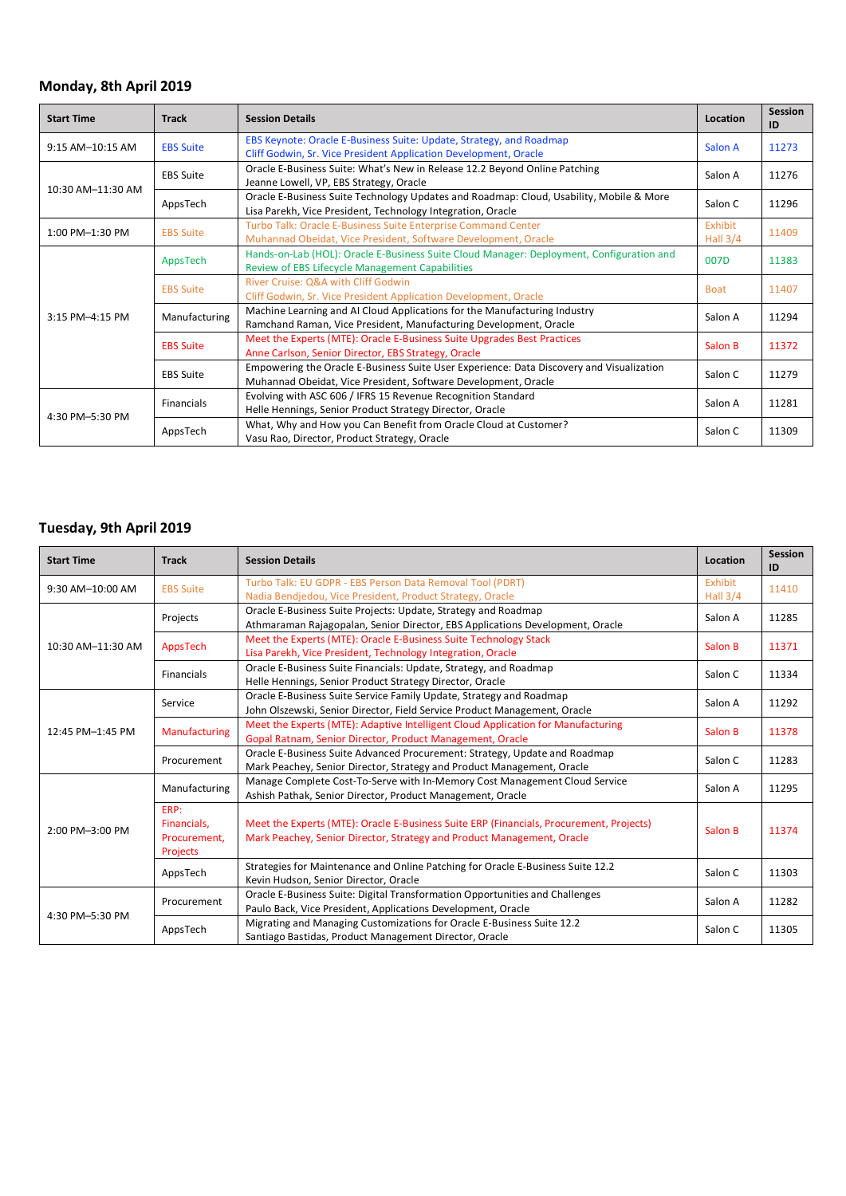#### **Monday, 8th April 2019**

| <b>Start Time</b>  | <b>Track</b>     | <b>Session Details</b>                                                                                                                                     | Location              | <b>Session</b><br>ID |
|--------------------|------------------|------------------------------------------------------------------------------------------------------------------------------------------------------------|-----------------------|----------------------|
| $9:15$ AM-10:15 AM | <b>EBS Suite</b> | EBS Keynote: Oracle E-Business Suite: Update, Strategy, and Roadmap<br>Cliff Godwin, Sr. Vice President Application Development, Oracle                    | Salon A               | 11273                |
| 10:30 AM-11:30 AM  | <b>EBS Suite</b> | Oracle E-Business Suite: What's New in Release 12.2 Beyond Online Patching<br>Jeanne Lowell, VP, EBS Strategy, Oracle                                      | Salon A               | 11276                |
|                    | AppsTech         | Oracle E-Business Suite Technology Updates and Roadmap: Cloud, Usability, Mobile & More<br>Lisa Parekh, Vice President, Technology Integration, Oracle     | Salon C               | 11296                |
| 1:00 PM-1:30 PM    | <b>EBS Suite</b> | Turbo Talk: Oracle E-Business Suite Enterprise Command Center<br>Muhannad Obeidat, Vice President, Software Development, Oracle                            | Exhibit<br>Hall $3/4$ | 11409                |
| 3:15 PM-4:15 PM    | AppsTech         | Hands-on-Lab (HOL): Oracle E-Business Suite Cloud Manager: Deployment, Configuration and<br><b>Review of EBS Lifecycle Management Capabilities</b>         | 007D                  | 11383                |
|                    | <b>EBS Suite</b> | River Cruise: Q&A with Cliff Godwin<br>Cliff Godwin, Sr. Vice President Application Development, Oracle                                                    | <b>Boat</b>           | 11407                |
|                    | Manufacturing    | Machine Learning and AI Cloud Applications for the Manufacturing Industry<br>Ramchand Raman, Vice President, Manufacturing Development, Oracle             | Salon A               | 11294                |
|                    | <b>EBS Suite</b> | Meet the Experts (MTE): Oracle E-Business Suite Upgrades Best Practices<br>Anne Carlson, Senior Director, EBS Strategy, Oracle                             | Salon B               | 11372                |
|                    | <b>EBS Suite</b> | Empowering the Oracle E-Business Suite User Experience: Data Discovery and Visualization<br>Muhannad Obeidat, Vice President, Software Development, Oracle | Salon C               | 11279                |
| 4:30 PM-5:30 PM    | Financials       | Evolving with ASC 606 / IFRS 15 Revenue Recognition Standard<br>Helle Hennings, Senior Product Strategy Director, Oracle                                   | Salon A               | 11281                |
|                    | AppsTech         | What, Why and How you Can Benefit from Oracle Cloud at Customer?<br>Vasu Rao, Director, Product Strategy, Oracle                                           | Salon C               | 11309                |

## **Tuesday, 9th April 2019**

| <b>Start Time</b> | <b>Track</b>                                    | <b>Session Details</b>                                                                                                                                            | Location            | Session<br>ID |
|-------------------|-------------------------------------------------|-------------------------------------------------------------------------------------------------------------------------------------------------------------------|---------------------|---------------|
| 9:30 AM-10:00 AM  | <b>EBS Suite</b>                                | Turbo Talk: EU GDPR - EBS Person Data Removal Tool (PDRT)<br>Nadia Bendjedou, Vice President, Product Strategy, Oracle                                            | Exhibit<br>Hall 3/4 | 11410         |
| 10:30 AM-11:30 AM | Projects                                        | Oracle E-Business Suite Projects: Update, Strategy and Roadmap<br>Athmaraman Rajagopalan, Senior Director, EBS Applications Development, Oracle                   | Salon A             | 11285         |
|                   | AppsTech                                        | Meet the Experts (MTE): Oracle E-Business Suite Technology Stack<br>Lisa Parekh, Vice President, Technology Integration, Oracle                                   | Salon B             | 11371         |
|                   | <b>Financials</b>                               | Oracle E-Business Suite Financials: Update, Strategy, and Roadmap<br>Helle Hennings, Senior Product Strategy Director, Oracle                                     | Salon C             | 11334         |
| 12:45 PM-1:45 PM  | Service                                         | Oracle E-Business Suite Service Family Update, Strategy and Roadmap<br>John Olszewski, Senior Director, Field Service Product Management, Oracle                  | Salon A             | 11292         |
|                   | Manufacturing                                   | Meet the Experts (MTE): Adaptive Intelligent Cloud Application for Manufacturing<br>Gopal Ratnam, Senior Director, Product Management, Oracle                     | Salon B             | 11378         |
|                   | Procurement                                     | Oracle E-Business Suite Advanced Procurement: Strategy, Update and Roadmap<br>Mark Peachey, Senior Director, Strategy and Product Management, Oracle              | Salon C             | 11283         |
| 2:00 PM-3:00 PM   | Manufacturing                                   | Manage Complete Cost-To-Serve with In-Memory Cost Management Cloud Service<br>Ashish Pathak, Senior Director, Product Management, Oracle                          | Salon A             | 11295         |
|                   | ERP:<br>Financials,<br>Procurement,<br>Projects | Meet the Experts (MTE): Oracle E-Business Suite ERP (Financials, Procurement, Projects)<br>Mark Peachey, Senior Director, Strategy and Product Management, Oracle | Salon B             | 11374         |
|                   | AppsTech                                        | Strategies for Maintenance and Online Patching for Oracle E-Business Suite 12.2<br>Kevin Hudson, Senior Director, Oracle                                          | Salon C             | 11303         |
| 4:30 PM-5:30 PM   | Procurement                                     | Oracle E-Business Suite: Digital Transformation Opportunities and Challenges<br>Paulo Back, Vice President, Applications Development, Oracle                      | Salon A             | 11282         |
|                   | AppsTech                                        | Migrating and Managing Customizations for Oracle E-Business Suite 12.2<br>Santiago Bastidas, Product Management Director, Oracle                                  | Salon C             | 11305         |